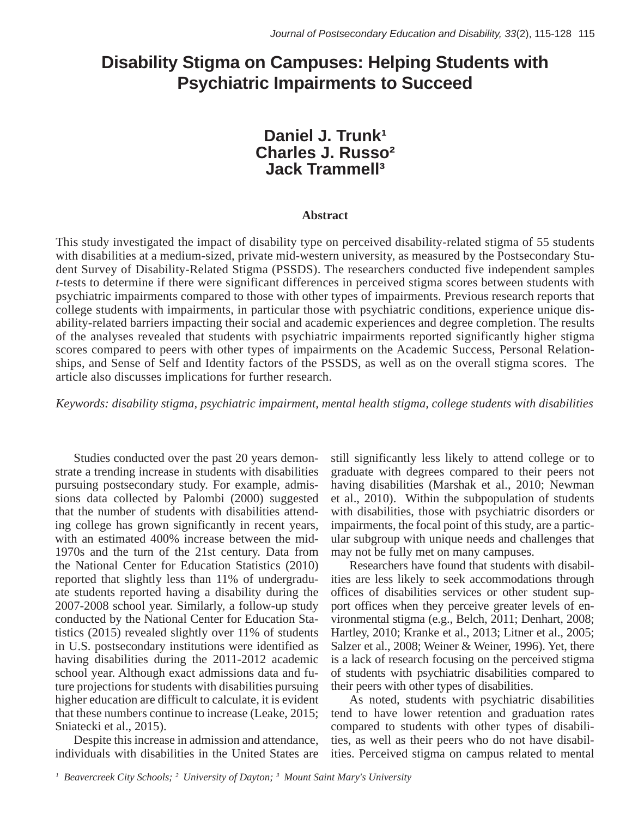# **Disability Stigma on Campuses: Helping Students with Psychiatric Impairments to Succeed**

# Daniel J. Trunk<sup>1</sup> **Charles J. Russo**<sup>2</sup> **Jack Trammell<sup>3</sup> Charles J. Russ**

# **Abstract**

This study investigated the impact of disability type on perceived disability-related stigma of 55 students with disabilities at a medium-sized, private mid-western university, as measured by the Postsecondary Student Survey of Disability-Related Stigma (PSSDS). The researchers conducted five independent samples *t*-tests to determine if there were significant differences in perceived stigma scores between students with psychiatric impairments compared to those with other types of impairments. Previous research reports that polyematric impairments compared to those with other types of impairments. Previous research reports that college students with impairments, in particular those with psychiatric conditions, experience unique disability-related barriers impacting their social and academic experiences and degree completion. The results of the analyses revealed that students with psychiatric impairments reported significantly higher stigma scores compared to peers with other types of impairments on the Academic Success, Personal Relationships, and Sense of Self and Identity factors of the PSSDS, as well as on the overall stigma scores. The article also discusses implications for further research.

*Keywords: disability stigma, psychiatric impairment, mental health stigma, college students with disabilities*

Studies conducted over the past 20 years demonstrate a trending increase in students with disabilities pursuing postsecondary study. For example, admissions data collected by Palombi (2000) suggested that the number of students with disabilities attending college has grown significantly in recent years, with an estimated 400% increase between the mid-1970s and the turn of the 21st century. Data from the National Center for Education Statistics (2010) reported that slightly less than 11% of undergraduate students reported having a disability during the  $2007-2008$  school year. Similarly, a follow-up study conducted by the National Center for Education Sta- $2015$  revealed slightly over 11% of students in U.S. postsecondary institutions were identified as having disabilities during the 2011-2012 academic nuving disdomics during the 2011 2012 academic<br>school year. Although exact admissions data and fusensor year. This increase admissions data and rule ture projections for students with disabilities pursuing higher education are difficult to calculate, it is evident that these numbers continue to increase (Leake, 2015; Sniatecki et al., 2015). individuals with disabilities in the United States and United States are  $\frac{1}{2}$ 

Despite this increase in admission and attendance, individuals with disabilities in the United States are still significantly less likely to attend college or to graduate with degrees compared to their peers not having disabilities (Marshak et al., 2010; Newman et al., 2010). Within the subpopulation of students with disabilities, those with psychiatric disorders or impairments, the focal point of this study, are a particular subgroup with unique needs and challenges that may not be fully met on many campuses.

Researchers have found that students with disabilities are less likely to seek accommodations through offices of disabilities services or other student support offices when they perceive greater levels of environmental stigma (e.g., Belch, 2011; Denhart, 2008; Hartley, 2010; Kranke et al., 2013; Litner et al., 2005; Salzer et al., 2008; Weiner & Weiner, 1996). Yet, there is a lack of research focusing on the perceived stigma of students with psychiatric disabilities compared to their peers with other types of disabilities. of statents with psychiatric disabilities. Compared

As noted, students with psychiatric disabilities tend to have lower retention and graduation rates compared to students with other types of disabilities, as well as their peers who do not have disabilities. Perceived stigma on campus related to mental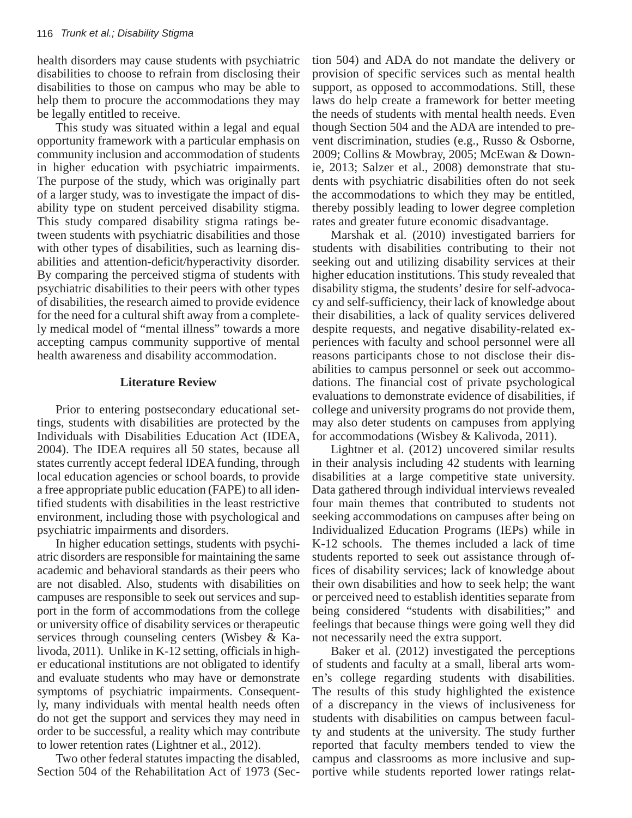health disorders may cause students with psychiatric disabilities to choose to refrain from disclosing their disabilities to those on campus who may be able to help them to procure the accommodations they may be legally entitled to receive.

This study was situated within a legal and equal opportunity framework with a particular emphasis on community inclusion and accommodation of students in higher education with psychiatric impairments. The purpose of the study, which was originally part of a larger study, was to investigate the impact of disability type on student perceived disability stigma. This study compared disability stigma ratings bethis stady compared disdomly stigma ratings of tween students with psychiatric disabilities and those we haddens with psychiatric disabilities and those with other types of disabilities, such as learning disabilities and attention-deficit/hyperactivity disorder. By comparing the perceived stigma of students with psychiatric disabilities to their peers with other types of disabilities, the research aimed to provide evidence for the need for a cultural shift away from a completely medical model of "mental illness" towards a more accepting campus community supportive of mental health awareness and disability accommodation. with other types of disabilities, such as realing this

## **Literature Review**

Prior to entering postsecondary educational settings, students with disabilities are protected by the Individuals with Disabilities Education Act (IDEA, 2004). The IDEA requires all 50 states, because all states currently accept federal IDEA funding, through local education agencies or school boards, to provide a free appropriate public education (FAPE) to all identified students with disabilities in the least restrictive environment, including those with psychological and psychiatric impairments and disorders.

In higher education settings, students with psychiatric disorders are responsible for maintaining the same academic and behavioral standards as their peers who are not disabled. Also, students with disabilities on campuses are responsible to seek out services and support in the form of accommodations from the college or university office of disability services or therapeutic services through counseling centers (Wisbey & Kalivoda, 2011). Unlike in K-12 setting, officials in higher educational institutions are not obligated to identify and evaluate students who may have or demonstrate symptoms of psychiatric impairments. Consequently, many individuals with mental health needs often do not get the support and services they may need in order to be successful, a reality which may contribute to lower retention rates (Lightner et al., 2012). campuses are responsible to seek our services and

Two other federal statutes impacting the disabled, Section 504 of the Rehabilitation Act of 1973 (Section 504) and ADA do not mandate the delivery or provision of specific services such as mental health support, as opposed to accommodations. Still, these laws do help create a framework for better meeting the needs of students with mental health needs. Even though Section 504 and the ADA are intended to prevent discrimination, studies (e.g., Russo & Osborne, 2009; Collins & Mowbray, 2005; McEwan & Downie, 2013; Salzer et al., 2008) demonstrate that students with psychiatric disabilities often do not seek the accommodations to which they may be entitled, the accommodations to which and may be entitled, thereby possibly leading to lower degree completion thereby possibly feating to fower degree comprehensities and greater future economic disadvantage.

Marshak et al. (2010) investigated barriers for students with disabilities contributing to their not seeking out and utilizing disability services at their higher education institutions. This study revealed that is the matrix of the school personnel and school personnel and school personnel and school personnel and school personnel and school personnel and school personnel an disability stigma, the students' desire for self-advocacy and self-sufficiency, their lack of knowledge about their disabilities, a lack of quality services delivered despite requests, and negative disability-related experiences with faculty and school personnel were all reasons participants chose to not disclose their disabilities to campus personnel or seek out accommodations. The financial cost of private psychological evaluations to demonstrate evidence of disabilities, if college and university programs do not provide them, may also deter students on campuses from applying for accommodations (Wisbey & Kalivoda, 2011).  $\frac{1}{2}$  of  $\frac{1}{2}$  and  $\frac{1}{2}$  and  $\frac{1}{2}$  and  $\frac{1}{2}$  and  $\frac{1}{2}$  and  $\frac{1}{2}$ 

Lightner et al.  $(2012)$  uncovered similar results in their analysis including 42 students with learning disabilities at a large competitive state university. Data gathered through individual interviews revealed four main themes that contributed to students not seeking accommodations on campuses after being on Individualized Education Programs (IEPs) while in K-12 schools. The themes included a lack of time students reported to seek out assistance through offices of disability services; lack of knowledge about their own disabilities and how to seek help; the want or perceived need to establish identities separate from being considered "students with disabilities;" and feelings that because things were going well they did not necessarily need the extra support.

Baker et al. (2012) investigated the perceptions of students and faculty at a small, liberal arts women's college regarding students with disabilities. The results of this study highlighted the existence of a discrepancy in the views of inclusiveness for students with disabilities on campus between faculty and students at the university. The study further reported that faculty members tended to view the campus and classrooms as more inclusive and supportive while students reported lower ratings relat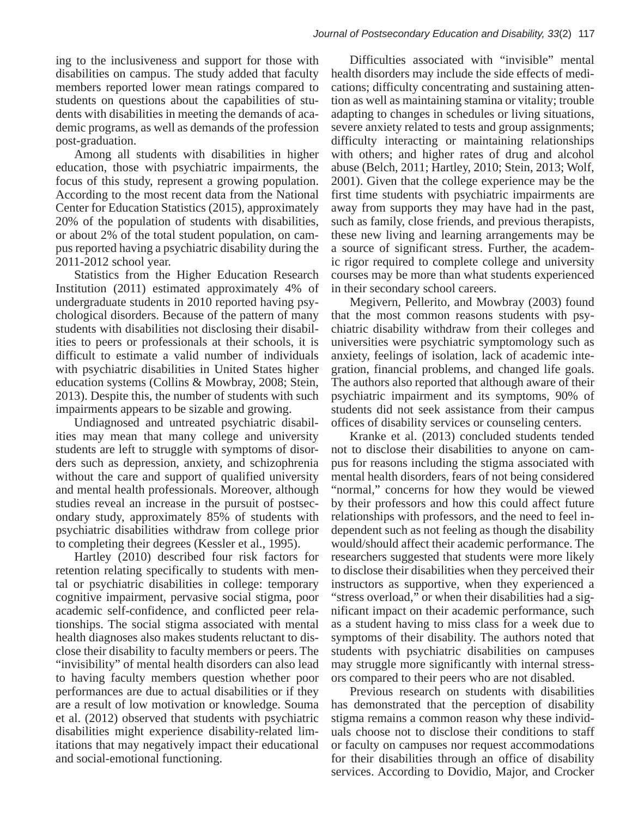ing to the inclusiveness and support for those with disabilities on campus. The study added that faculty members reported lower mean ratings compared to students on questions about the capabilities of students with disabilities in meeting the demands of academic programs, as well as demands of the profession post-graduation.

Among all students with disabilities in higher education, those with psychiatric impairments, the focus of this study, represent a growing population. According to the most recent data from the National Center for Education Statistics (2015), approximately 20% of the population of students with disabilities, zoro or the population or statements with disabilities, or about 2% of the total student population, on cam- $\frac{1}{200}$  of the total statent population, on early pus reported having a psychiatric disability during the 2011-2012 school year. pas reported naving a psychiatric disability during

2011-2012 senoor year.<br>Statistics from the Higher Education Research Institution (2011) estimated approximately 4% of undergraduate students in 2010 reported having psychological disorders. Because of the pattern of many students with disabilities not disclosing their disabilities to peers or professionals at their schools, it is difficult to estimate a valid number of individuals with psychiatric disabilities in United States higher education systems (Collins & Mowbray, 2008; Stein, 2013). Despite this, the number of students with such impairments appears to be sizable and growing. statistics from the finglier Education Research

impairments appears to be sizable and growing.<br>Undiagnosed and untreated psychiatric disabilities may mean that many college and university students are left to struggle with symptoms of disorders such as depression, anxiety, and schizophrenia without the care and support of qualified university and mental health professionals. Moreover, although studies reveal an increase in the pursuit of postsecondary study, approximately 85% of students with psychiatric disabilities withdraw from college prior to completing their degrees (Kessler et al., 1995).

Hartley (2010) described four risk factors for retention relating specifically to students with mental or psychiatric disabilities in college: temporary cognitive impairment, pervasive social stigma, poor academic self-confidence, and conflicted peer relationships. The social stigma associated with mental health diagnoses also makes students reluctant to disclose their disability to faculty members or peers. The "invisibility" of mental health disorders can also lead to having faculty members question whether poor performances are due to actual disabilities or if they are a result of low motivation or knowledge. Souma et al. (2012) observed that students with psychiatric disabilities might experience disability-related limitations that may negatively impact their educational and social-emotional functioning.

Difficulties associated with "invisible" mental health disorders may include the side effects of medications; difficulty concentrating and sustaining attention as well as maintaining stamina or vitality; trouble adapting to changes in schedules or living situations, severe anxiety related to tests and group assignments; difficulty interacting or maintaining relationships with others; and higher rates of drug and alcohol abuse (Belch, 2011; Hartley, 2010; Stein, 2013; Wolf, 2001). Given that the college experience may be the First time students with psychiatric impairments are away from supports they may have had in the past, away from supposes and fluxe had in the pass, such as family, close friends, and previous therapists, these new living and learning arrangements may be a source of significant stress. Further, the academic rigor required to complete college and university courses may be more than what students experienced in their secondary school careers.  $\alpha$  source or significant stress. I article, the academy

Megivern, Pellerito, and Mowbray (2003) found that the most common reasons students with psychiatric disability withdraw from their colleges and universities were psychiatric symptomology such as anxiety, feelings of isolation, lack of academic integration, financial problems, and changed life goals. The authors also reported that although aware of their psychiatric impairment and its symptoms, 90% of students did not seek assistance from their campus offices of disability services or counseling centers.

Kranke et al. (2013) concluded students tended not to disclose their disabilities to anyone on campus for reasons including the stigma associated with mental health disorders, fears of not being considered "normal," concerns for how they would be viewed by their professors and how this could affect future relationships with professors, and the need to feel independent such as not feeling as though the disability would/should affect their academic performance. The researchers suggested that students were more likely to disclose their disabilities when they perceived their instructors as supportive, when they experienced a "stress overload," or when their disabilities had a significant impact on their academic performance, such as a student having to miss class for a week due to symptoms of their disability. The authors noted that students with psychiatric disabilities on campuses may struggle more significantly with internal stressors compared to their peers who are not disabled.

Previous research on students with disabilities has demonstrated that the perception of disability stigma remains a common reason why these individuals choose not to disclose their conditions to staff or faculty on campuses nor request accommodations for their disabilities through an office of disability services. According to Dovidio, Major, and Crocker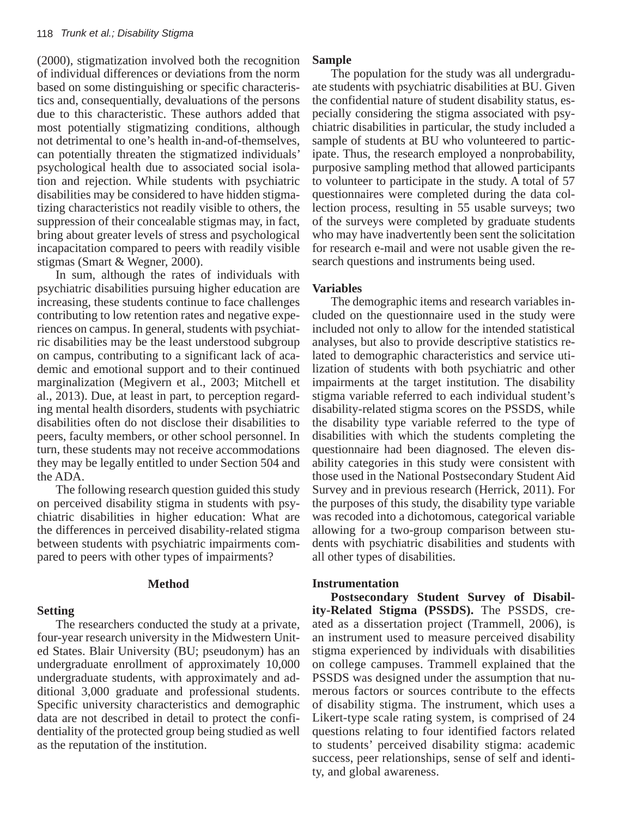$(2000)$ , stigmatization involved both the recognition of individual differences or deviations from the norm based on some distinguishing or specific characteristics and, consequentially, devaluations of the persons due to this characteristic. These authors added that most potentially stigmatizing conditions, although not detrimental to one's health in-and-of-themselves, can potentially threaten the stigmatized individuals' psychological health due to associated social isolation and rejection. While students with psychiatric disabilities may be considered to have hidden stigmatizing characteristics not readily visible to others, the suppression of their concealable stigmas may, in fact, bring about greater levels of stress and psychological incapacitation compared to peers with readily visible stigmas (Smart & Wegner, 2000).

In sum, although the rates of individuals with psychiatric disabilities pursuing higher education are psychiatric disabilities parsaing inglier education are increasing, these students continue to face challenges contributing to low retention rates and negative experiences on campus. In general, students with psychiatric disabilities may be the least understood subgroup on campus, contributing to a significant lack of academic and emotional support and to their continued marginalization (Megivern et al., 2003; Mitchell et al., 2013). Due, at least in part, to perception regarding mental health disorders, students with psychiatric disabilities often do not disclose their disabilities to peers, faculty members, or other school personnel. In turn, these students may not receive accommodations they may be legally entitled to under Section 504 and the ADA. contributing to fow retention rates and negative expe

The following research question guided this study on perceived disability stigma in students with psychiatric disabilities in higher education: What are the differences in perceived disability-related stigma between students with psychiatric impairments compared to peers with other types of impairments?

#### **Method**

## **Setting**

The researchers conducted the study at a private, four-year research university in the Midwestern United States. Blair University (BU; pseudonym) has an undergraduate enrollment of approximately 10,000 undergraduate students, with approximately and additional 3,000 graduate and professional students. Specific university characteristics and demographic data are not described in detail to protect the confidentiality of the protected group being studied as well as the reputation of the institution.

## **Sample**

The population for the study was all undergraduate students with psychiatric disabilities at BU. Given the confidential nature of student disability status, especially considering the stigma associated with psychiatric disabilities in particular, the study included a sample of students at BU who volunteered to participate. Thus, the research employed a nonprobability, purposive sampling method that allowed participants to volunteer to participate in the study. A total of  $57$ questionnaires were completed during the data collection process, resulting in 55 usable surveys; two of the surveys were completed by graduate students who may have inadvertently been sent the solicitation for research e-mail and were not usable given the research questions and instruments being used.

## **Variables**

The demographic items and research variables included on the questionnaire used in the study were included not only to allow for the intended statistical analyses, but also to provide descriptive statistics related to demographic characteristics and service utilization of students with both psychiatric and other impairments at the target institution. The disability stigma variable referred to each individual student's disability-related stigma scores on the PSSDS, while the disability type variable referred to the type of disabilities with which the students completing the questionnaire had been diagnosed. The eleven disability categories in this study were consistent with those used in the National Postsecondary Student Aid Survey and in previous research (Herrick, 2011). For  $\frac{1}{201}$  ( $\frac{1}{201}$ ). The disability type variable the purposes of this study, the disability type variable was recoded into a dichotomous, categorical variable allowing for a two-group comparison between students with psychiatric disabilities and students with all other types of disabilities.

## **Instrumentation**

**Postsecondary Student Survey of Disabil**ity-Related Stigma (PSSDS). The PSSDS, created as a dissertation project (Trammell, 2006), is an instrument used to measure perceived disability stigma experienced by individuals with disabilities on college campuses. Trammell explained that the PSSDS was designed under the assumption that numerous factors or sources contribute to the effects of disability stigma. The instrument, which uses a Likert-type scale rating system, is comprised of 24 questions relating to four identified factors related to students' perceived disability stigma: academic success, peer relationships, sense of self and identity, and global awareness.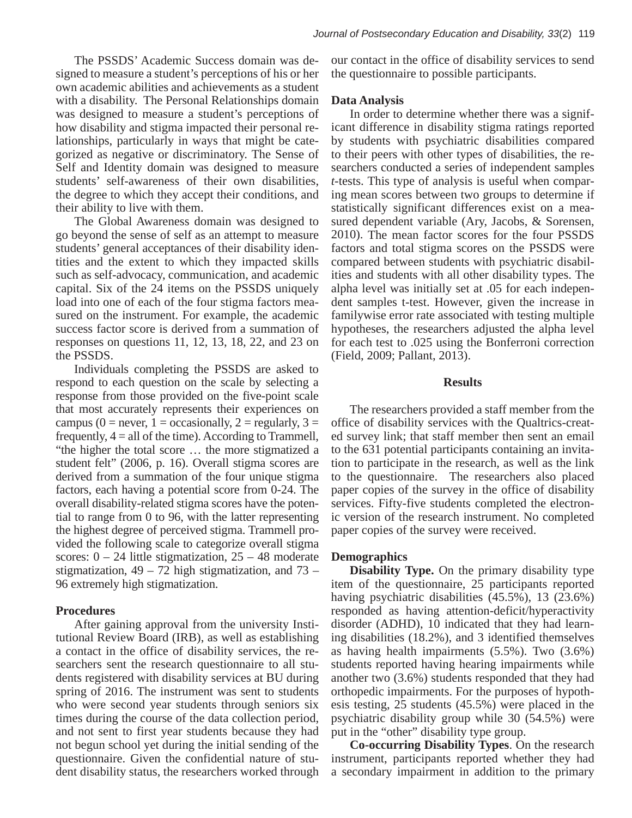The PSSDS' Academic Success domain was designed to measure a student's perceptions of his or her own academic abilities and achievements as a student with a disability. The Personal Relationships domain was designed to measure a student's perceptions of how disability and stigma impacted their personal relationships, particularly in ways that might be categorized as negative or discriminatory. The Sense of Self and Identity domain was designed to measure students' self-awareness of their own disabilities, the degree to which they accept their conditions, and their ability to live with them.

The Global Awareness domain was designed to go beyond the sense of self as an attempt to measure go beyond the sense of sen as an attempt to measure students' general acceptances of their disability identities and the extent to which they impacted skills such as self-advocacy, communication, and academic capital. Six of the 24 items on the PSSDS uniquely load into one of each of the four stigma factors measured on the instrument. For example, the academic success factor score is derived from a summation of responses on questions  $11$ ,  $12$ ,  $13$ ,  $18$ ,  $22$ , and  $23$  on the PSSDS. of each of the four stigma factors measured on the instrument.

Individuals completing the PSSDS are asked to respond to each question on the scale by selecting a response from those provided on the five-point scale that most accurately represents their experiences on campus ( $0 =$  never,  $1 =$  occasionally,  $2 =$  regularly,  $3 =$ frequently,  $4 =$  all of the time). According to Trammell, "the higher the total score ... the more stigmatized a student felt" (2006, p. 16). Overall stigma scores are derived from a summation of the four unique stigma factors, each having a potential score from 0-24. The overall disability-related stigma scores have the potential to range from 0 to 96, with the latter representing the highest degree of perceived stigma. Trammell provided the following scale to categorize overall stigma scores:  $0 - 24$  little stigmatization,  $25 - 48$  moderate stigmatization,  $49 - 72$  high stigmatization, and  $73 -$ 96 extremely high stigmatization.

## **Procedures**

After gaining approval from the university Institutional Review Board (IRB), as well as establishing a contact in the office of disability services, the researchers sent the research questionnaire to all students registered with disability services at BU during spring of 2016. The instrument was sent to students who were second year students through seniors six times during the course of the data collection period, and not sent to first year students because they had not begun school yet during the initial sending of the questionnaire. Given the confidential nature of student disability status, the researchers worked through

our contact in the office of disability services to send the questionnaire to possible participants.

## **Data Analysis**

In order to determine whether there was a significant difference in disability stigma ratings reported by students with psychiatric disabilities compared to their peers with other types of disabilities, the researchers conducted a series of independent samples *t*-tests. This type of analysis is useful when comparing mean scores between two groups to determine if statistically significant differences exist on a measured dependent variable (Ary, Jacobs, & Sorensen, 2010). The mean factor scores for the four PSSDS factors and total stigma scores on the PSSDS were compared between students with psychiatric disabilities and students with all other disability types. The alpha level was initially set at .05 for each independent samples t-test. However, given the increase in familywise error rate associated with testing multiple hypotheses, the researchers adjusted the alpha level for each test to .025 using the Bonferroni correction (Field, 2009; Pallant, 2013).

# **Results**

The researchers provided a staff member from the office of disability services with the Qualtrics-created survey link; that staff member then sent an email to the 631 potential participants containing an invitation to participate in the research, as well as the link to the questionnaire. The researchers also placed paper copies of the survey in the office of disability services. Fifty-five students completed the electronic version of the research instrument. No completed paper copies of the survey were received.

# **Demographics**

**Disability Type.** On the primary disability type item of the questionnaire, 25 participants reported having psychiatric disabilities  $(45.5\%)$ , 13  $(23.6\%)$ responded as having attention-deficit/hyperactivity disorder (ADHD), 10 indicated that they had learning disabilities  $(18.2\%)$ , and 3 identified themselves as having health impairments  $(5.5\%)$ . Two  $(3.6\%)$ students reported having hearing impairments while another two  $(3.6\%)$  students responded that they had orthopedic impairments. For the purposes of hypothesis testing,  $25$  students  $(45.5%)$  were placed in the psychiatric disability group while 30 (54.5%) were put in the "other" disability type group.

**Co-occurring Disability Types.** On the research instrument, participants reported whether they had a secondary impairment in addition to the primary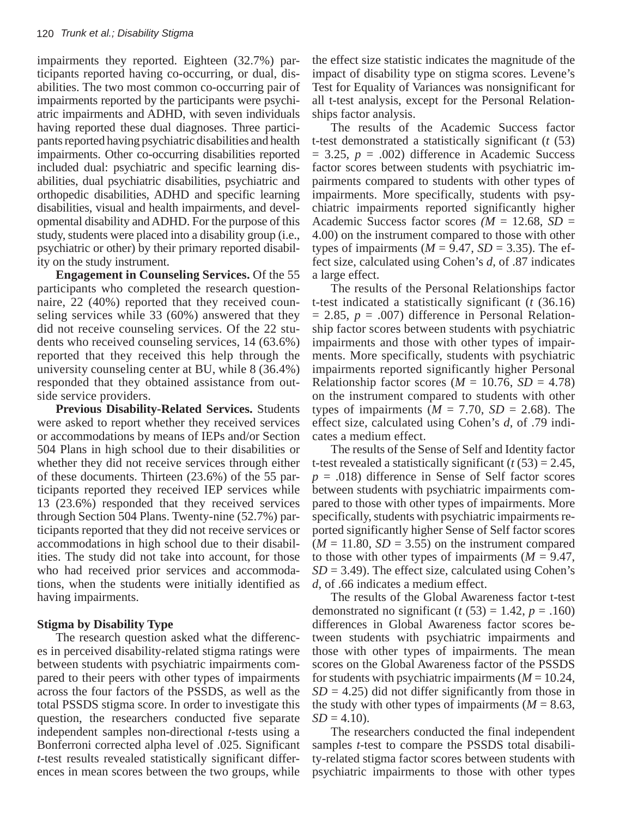impairments they reported. Eighteen (32.7%) participants reported having co-occurring, or dual, disabilities. The two most common co-occurring pair of impairments reported by the participants were psychiatric impairments and ADHD, with seven individuals having reported these dual diagnoses. Three participants reported having psychiatric disabilities and health impairments. Other co-occurring disabilities reported included dual: psychiatric and specific learning disabilities, dual psychiatric disabilities, psychiatric and orthopedic disabilities, ADHD and specific learning disabilities, visual and health impairments, and develdisability and ADHD. For the purpose of this opmental disability and ADHD. For the purpose of this study, students were placed into a disability group (i.e., biddy, statems were placed mo a disability group (i.e., psychiatric or other) by their primary reported disability on the study instrument. psychiante of other f of their primary reported disability

**Engagement in Counseling Services.** Of the 55 participants who completed the research questionnaire, 22 (40%) reported that they received counseling services while 33 (60%) answered that they did not receive counseling services. Of the 22 students who received counseling services, 14 (63.6%) reported that they received this help through the university counseling center at BU, while 8 (36.4%) responded that they obtained assistance from outside service providers. **Eingagement in Counseling services.** Of the 33

**Previous Disability-Related Services.** Students were asked to report whether they received services or accommodations by means of IEPs and/or Section 504 Plans in high school due to their disabilities or whether they did not receive services through either of these documents. Thirteen (23.6%) of the 55 participants reported they received IEP services while 13 (23.6%) responded that they received services through Section 504 Plans. Twenty-nine (52.7%) participants reported that they did not receive services or accommodations in high school due to their disabilities. The study did not take into account, for those who had received prior services and accommodations, when the students were initially identified as having impairments.

## **Stigma by Disability Type**

The research question asked what the differences in perceived disability-related stigma ratings were between students with psychiatric impairments compared to their peers with other types of impairments across the four factors of the PSSDS, as well as the total PSSDS stigma score. In order to investigate this question, the researchers conducted five separate independent samples non-directional *t*-tests using a Bonferroni corrected alpha level of .025. Significant *t*-test results revealed statistically significant differences in mean scores between the two groups, while

the effect size statistic indicates the magnitude of the the effect size statistic indicates the magnitude of the impact of disability type on stigma scores. Levene's impact of disability type on stigma scores. Levene's Test for Equality of Variances was nonsignificant for all t-test analysis, except for the Personal Relationships factor analysis.

The results of the Academic Success factor  $t$ -test demonstrated a statistically significant ( $t$  (53)  $= 3.25, p = .002$ ) difference in Academic Success factor scores between students with psychiatric im-factor scores between students with psychiatric pairments compared to students with other types of impairments. More specifically, students with psychiatric impairments reported significantly higher Academic Success factor scores  $(M = 12.68, SD = 4.00)$ 4.00) on the instrument compared to those with other types of impairments  $(M = 9.47, SD = 3.35)$ . The effect size, calculated using Cohen's  $d$ , of .87 indicates a large effect.

The results of the Personal Relationships factor t-test indicated a statistically significant (*t* (36.16)  $= 2.85, p = .007$ ) difference in Personal Relationship factor scores between students with psychiatric factor scores between students with psychiatric impairments and those with other types of impairmpairments and those with other types of impair-<br>ments. More specifically, students with psychiatric impairments reported significantly higher Personal Relationship factor scores ( $M = 10.76$ ,  $SD = 4.78$ ) on the instrument compared to students with other types of impairments  $(M = 7.70, SD = 2.68)$ . The effect size, calculated using Cohen's *d*, of .79 indicates a medium effect.

The results of the Sense of Self and Identity factor  $\frac{1}{\sqrt{2}}$ t-test revealed a statistically significant  $(t (53) = 2.45$ , *p* = .018) difference in Sense of Self factor scores between students with psychiatric impairments compared to those with other types of impairments. More specifically, students with psychiatric impairments reported significantly higher Sense of Self factor scores  $(M = 11.80, SD = 3.55)$  on the instrument compared to those with other types of impairments  $(M = 9.47,$  $SD = 3.49$ ). The effect size, calculated using Cohen's *d*, of .66 indicates a medium effect.

a, or .66 indicates a medium crice...<br>The results of the Global Awareness factor t-test demonstrated no significant ( $t$  (53) = 1.42,  $p = .160$ ) differences in Global Awareness factor scores between students with psychiatric impairments and those with other types of impairments. The mean scores on the Global Awareness factor of the PSSDS for students with psychiatric impairments  $(M = 10.24,$  $SD = 4.25$ ) did not differ significantly from those in  $5D = 4.25$  ) did not differ significantly from those in the study with other types of impairments ( $M = 8.63$ ,  $SD = 4.10$ .  $SD = 4.10$ 

The researchers conducted the final independent samples *t*-test to compare the PSSDS total disability-related stigma factor scores between students with psychiatric impairments to those with other types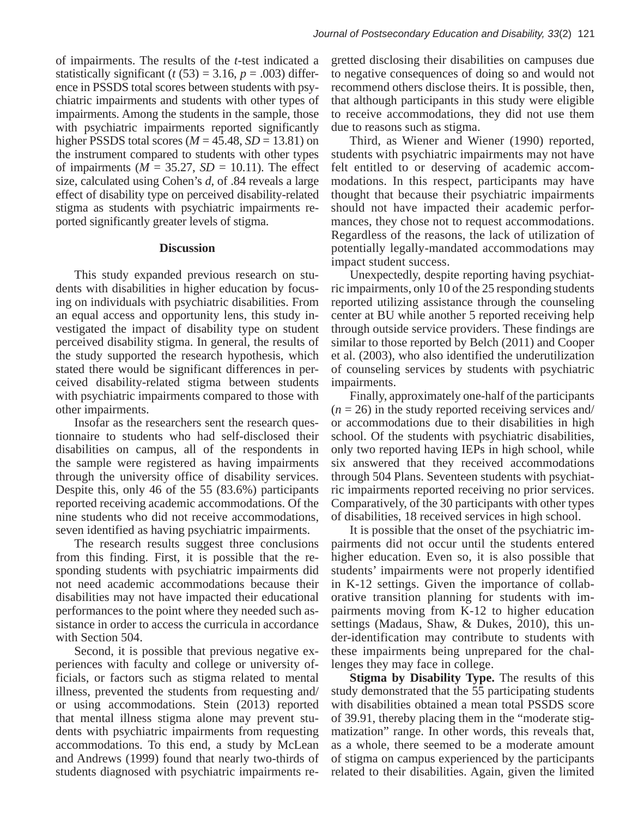of impairments ( $M = 35.27$ ,  $SD = 10.11$ ). The effect size, calculated using Cohen's *d*, of .84 reveals a large effect of disability type on perceived disability-related stigma as students with psychiatric impairments reported significantly greater levels of stigma.

## **Discussion**

This study expanded previous research on students with disabilities in higher education by focusing on individuals with psychiatric disabilities. From an equal access and opportunity lens, this study investigated the impact of disability type on student perceived disability stigma. In general, the results of the study supported the research hypothesis, which stated there would be significant differences in perceived disability-related stigma between students with psychiatric impairments compared to those with other impairments.

Insofar as the researchers sent the research questionnaire to students who had self-disclosed their disabilities on campus, all of the respondents in the sample were registered as having impairments through the university office of disability services. Despite this, only 46 of the 55 (83.6%) participants reported receiving academic accommodations. Of the nine students who did not receive accommodations, seven identified as having psychiatric impairments.

The research results suggest three conclusions from this finding. First, it is possible that the refrom this finding. First, it is possible that the responding students with psychiatric impairments did not need academic accommodations because their disabilities may not have impacted their educational performances to the point where they needed such assistance in order to access the curricula in accordance with Section 504.

Second, it is possible that previous negative experiences with faculty and college or university officials, or factors such as stigma related to mental illness, prevented the students from requesting and/ or using accommodations. Stein (2013) reported that mental illness stigma alone may prevent students with psychiatric impairments from requesting accommodations. To this end, a study by McLean and Andrews (1999) found that nearly two-thirds of students diagnosed with psychiatric impairments re-

gretted disclosing their disabilities on campuses due to negative consequences of doing so and would not recommend others disclose theirs. It is possible, then, that although participants in this study were eligible to receive accommodations, they did not use them due to reasons quake a stigma due to reasons such as stigma.

Third, as Wiener and Wiener (1990) reported, students with psychiatric impairments may not have felt entitled to or deserving of academic accommodations. In this respect, participants may have thought that because their psychiatric impairments thought that because their psychiatric impairments should not have impacted their academic performances, they chose not to request accommodations. Regardless of the reasons, the lack of utilization of potentially legally-mandated accommodations may impact student success.

Unexpectedly, despite reporting having psychiatric impairments, only 10 of the 25 responding students reported utilizing assistance through the counseling center at BU while another 5 reported receiving help through outside service providers. These findings are similar to those reported by Belch (2011) and Cooper  $\frac{1}{2011}$  and Cooper et al. (2003), who also identified the underutilization of counseling services by students with psychiatric impairments.

Finally, approximately one-half of the participants  $(n = 26)$  in the study reported receiving services and/ or accommodations due to their disabilities in high school. Of the students with psychiatric disabilities, only two reported having IEPs in high school, while six answered that they received accommodations through 504 Plans. Seventeen students with psychiatric impairments reported receiving no prior services. Comparatively, of the 30 participants with other types of disabilities, 18 received services in high school.

It is possible that the onset of the psychiatric impairments did not occur until the students entered higher education. Even so, it is also possible that students' impairments were not properly identified in K-12 settings. Given the importance of collaborative transition planning for students with impairments moving from  $K-12$  to higher education settings (Madaus, Shaw, & Dukes, 2010), this under-identification may contribute to students with these impairments being unprepared for the challenges they may face in college.

**Stigma by Disability Type.** The results of this study demonstrated that the 55 participating students study demonstrated that the 55 participating students with disabilities obtained a mean total PSSDS score of 39.91, thereby placing them in the "moderate stigmatization" range. In other words, this reveals that, as a whole, there seemed to be a moderate amount of stigma on campus experienced by the participants related to their disabilities. Again, given the limited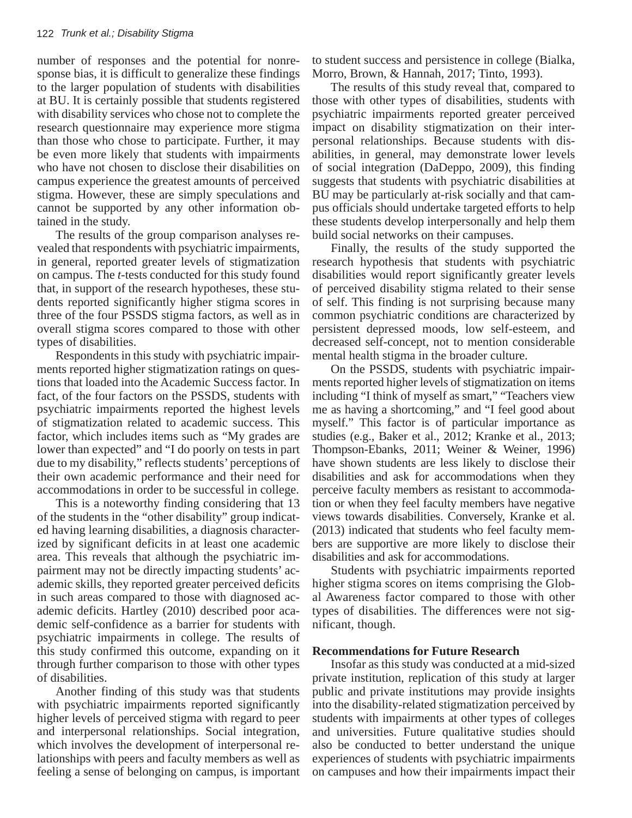number of responses and the potential for nonresponse bias, it is difficult to generalize these findings to the larger population of students with disabilities at BU. It is certainly possible that students registered with disability services who chose not to complete the research questionnaire may experience more stigma than those who chose to participate. Further, it may be even more likely that students with impairments who have not chosen to disclose their disabilities on campus experience the greatest amounts of perceived stigma. However, these are simply speculations and cannot be supported by any other information obtained in the study.  $\sum_{i=1}^{\infty}$  in the steels

The results of the group comparison analyses rerich results of the group comparison analyses revealed that respondents with psychiatric impairments, in general, reported greater levels of stigmatization on campus. The *t*-tests conducted for this study found that, in support of the research hypotheses, these students reported significantly higher stigma scores in three of the four PSSDS stigma factors, as well as in overall stigma scores compared to those with other types of disabilities. startly matrix higher stigma strings in the four PSSDS of the four PSSDS of the four PSSDS of the four PSSDS of the four PSSDS of the four PSSDS of the four PSSDS of the four PSSDS of the four PSSDS of the four PSSDS of th

Respondents in this study with psychiatric impairments reported higher stigmatization ratings on questions that loaded into the Academic Success factor. In fact, of the four factors on the PSSDS, students with psychiatric impairments reported the highest levels of stigmatization related to academic success. This factor, which includes items such as "My grades are lower than expected" and "I do poorly on tests in part due to my disability," reflects students' perceptions of their own academic performance and their need for accommodations in order to be successful in college.

This is a noteworthy finding considering that 13 of the students in the "other disability" group indicated having learning disabilities, a diagnosis characterized by significant deficits in at least one academic area. This reveals that although the psychiatric impairment may not be directly impacting students' academic skills, they reported greater perceived deficits in such areas compared to those with diagnosed academic deficits. Hartley (2010) described poor academic self-confidence as a barrier for students with psychiatric impairments in college. The results of this study confirmed this outcome, expanding on it through further comparison to those with other types of disabilities.

Another finding of this study was that students with psychiatric impairments reported significantly higher levels of perceived stigma with regard to peer and interpersonal relationships. Social integration, which involves the development of interpersonal relationships with peers and faculty members as well as feeling a sense of belonging on campus, is important to student success and persistence in college (Bialka, Morro, Brown, & Hannah, 2017; Tinto, 1993).

The results of this study reveal that, compared to those with other types of disabilities, students with psychiatric impairments reported greater perceived impact on disability stigmatization on their interpersonal relationships. Because students with disabilities, in general, may demonstrate lower levels of social integration (DaDeppo, 2009), this finding suggests that students with psychiatric disabilities at BU may be particularly at-risk socially and that campus officials should undertake targeted efforts to help pas since students showed and transmitted the students of the property these students develop interpersonally and help them huild social networks on their campuses.

Finally, the results of the study supported the research hypothesis that students with psychiatric disabilities would report significantly greater levels of perceived disability stigma related to their sense of self. This finding is not surprising because many common psychiatric conditions are characterized by persistent depressed moods, low self-esteem, and decreased self-concept, not to mention considerable mental health stigma in the broader culture. because many, the results of the study supported the

On the PSSDS, students with psychiatric impairments reported higher levels of stigmatization on items including "I think of myself as smart," "Teachers view me as having a shortcoming," and "I feel good about myself." This factor is of particular importance as studies (e.g., Baker et al., 2012; Kranke et al., 2013; Thompson-Ebanks, 2011; Weiner & Weiner, 1996) have shown students are less likely to disclose their disabilities and ask for accommodations when they perceive faculty members as resistant to accommodation or when they feel faculty members have negative views towards disabilities. Conversely, Kranke et al. (2013) indicated that students who feel faculty members are supportive are more likely to disclose their disabilities and ask for accommodations.

Students with psychiatric impairments reported higher stigma scores on items comprising the Global Awareness factor compared to those with other types of disabilities. The differences were not significant, though.

## **Recommendations for Future Research**

Insofar as this study was conducted at a mid-sized private institution, replication of this study at larger public and private institutions may provide insights into the disability-related stigmatization perceived by students with impairments at other types of colleges and universities. Future qualitative studies should also be conducted to better understand the unique experiences of students with psychiatric impairments on campuses and how their impairments impact their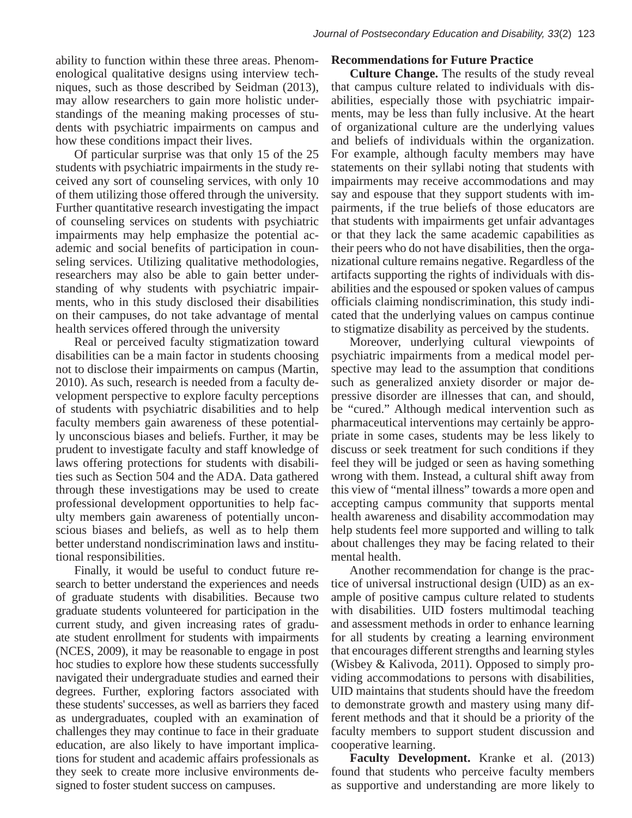ability to function within these three areas. Phenomenological qualitative designs using interview techniques, such as those described by Seidman (2013), may allow researchers to gain more holistic understandings of the meaning making processes of students with psychiatric impairments on campus and how these conditions impact their lives.

Of particular surprise was that only 15 of the  $25$ students with psychiatric impairments in the study received any sort of counseling services, with only 10 of them utilizing those offered through the university. Further quantitative research investigating the impact of counseling services on students with psychiatric impairments may help emphasize the potential acmpainments may neip emphasize the potential ac ademic and social benefits of participation in counseling services. Utilizing qualitative methodologies, researchers may also be able to gain better understanding of why students with psychiatric impairments, who in this study disclosed their disabilities on their campuses, do not take advantage of mental health services offered through the university when the social benefits of participation in cour-

Real or perceived faculty stigmatization toward disabilities can be a main factor in students choosing not to disclose their impairments on campus (Martin, 2010). As such, research is needed from a faculty development perspective to explore faculty perceptions of students with psychiatric disabilities and to help faculty members gain awareness of these potentially unconscious biases and beliefs. Further, it may be prudent to investigate faculty and staff knowledge of laws offering protections for students with disabilities such as Section 504 and the ADA. Data gathered through these investigations may be used to create professional development opportunities to help faculty members gain awareness of potentially unconscious biases and beliefs, as well as to help them better understand nondiscrimination laws and institutional responsibilities.

Finally, it would be useful to conduct future research to better understand the experiences and needs of graduate students with disabilities. Because two graduate students volunteered for participation in the current study, and given increasing rates of graduate student enrollment for students with impairments (NCES, 2009), it may be reasonable to engage in post hoc studies to explore how these students successfully navigated their undergraduate studies and earned their degrees. Further, exploring factors associated with these students' successes, as well as barriers they faced as undergraduates, coupled with an examination of challenges they may continue to face in their graduate education, are also likely to have important implications for student and academic affairs professionals as they seek to create more inclusive environments designed to foster student success on campuses.

#### **Recommendations for Future Practice**

**Culture Change.** The results of the study reveal that campus culture related to individuals with disabilities, especially those with psychiatric impairments, may be less than fully inclusive. At the heart of organizational culture are the underlying values and beliefs of individuals within the organization. For example, although faculty members may have statements on their syllabi noting that students with impairments may receive accommodations and may say and espouse that they support students with impairments, if the true beliefs of those educators are that students with impairments get unfair advantages or that they lack the same academic capabilities as their peers who do not have disabilities, then the organizational culture remains negative. Regardless of the artifacts supporting the rights of individuals with disabilities and the espoused or spoken values of campus abilities and the espoused or spoken values of campus domics and the espoased of spoken varies of eampass of ficials claiming nondiscrimination, this study indicated that the underlying values on campus continue to stigmatize disability as perceived by the students. official committee model perspective may be assumed to the assumption that conditions of the assumption of the assumption of the assumption of the assumption of the assumption of the assumption of the assumption of the ass

Moreover, underlying cultural viewpoints of psychiatric impairments from a medical model perspective may lead to the assumption that conditions such as generalized anxiety disorder or major depressive disorder are illnesses that can, and should, be "cured." Although medical intervention such as pharmaceutical interventions may certainly be appropriate in some cases, students may be less likely to discuss or seek treatment for such conditions if they feel they will be judged or seen as having something wrong with them. Instead, a cultural shift away from this view of "mental illness" towards a more open and accepting campus community that supports mental health awareness and disability accommodation may help students feel more supported and willing to talk about challenges they may be facing related to their mental health. **Example 1** maintains showled have the freedom students showled have the freedom students showled have the freedom students showled have the freedom students showled have the freedom students showled have th

Another recommendation for change is the practice of universal instructional design (UID) as an example of positive campus culture related to students with disabilities. UID fosters multimodal teaching and assessment methods in order to enhance learning for all students by creating a learning environment that encourages different strengths and learning styles (Wisbey & Kalivoda, 2011). Opposed to simply providing accommodations to persons with disabilities, UID maintains that students should have the freedom to demonstrate growth and mastery using many different methods and that it should be a priority of the faculty members to support student discussion and cooperative learning.

**Faculty Development.** Kranke et al. (2013) found that students who perceive faculty members as supportive and understanding are more likely to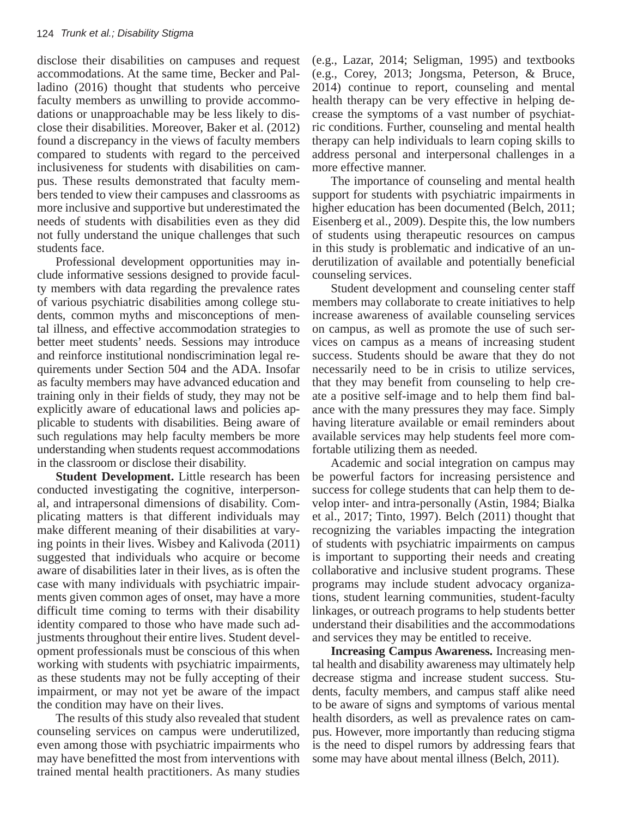disclose their disabilities on campuses and request disclose their disabilities on campuses and request accommodations. At the same time, Becker and Palladino (2016) thought that students who perceive faculty members as unwilling to provide accommodations or unapproachable may be less likely to disclose their disabilities. Moreover, Baker et al. (2012) found a discrepancy in the views of faculty members compared to students with regard to the perceived inclusiveness for students with disabilities on campus. These results demonstrated that faculty members tended to view their campuses and classrooms as they did not fully underestimated the more inclusive and supportive but underestimated the needs of students with disabilities even as they did not fully understand the unique challenges that such not fully students face. members with discretion of the previous conditions of various conditions of various conditions of various conditions.

Professional development opportunities may include informative sessions designed to provide faculty members with data regarding the prevalence rates of various psychiatric disabilities among college students, common myths and misconceptions of mental illness, and effective accommodation strategies to better meet students' needs. Sessions may introduce and reinforce institutional nondiscrimination legal requirements under Section 504 and the ADA. Insofar as faculty members may have advanced education and training only in their fields of study, they may not be explicitly aware of educational laws and policies applicable to students with disabilities. Being aware of such regulations may help faculty members be more understanding when students request accommodations in the classroom or disclose their disability. and more solutions of mercifying the mental indicates of mental in the mental indicates of mental in the metal

**Student Development.** Little research has been conducted investigating the cognitive, interpersonal, and intrapersonal dimensions of disability. Complicating matters is that different individuals may make different meaning of their disabilities at varying points in their lives. Wisbey and Kalivoda (2011) suggested that individuals who acquire or become aware of disabilities later in their lives, as is often the case with many individuals with psychiatric impairments given common ages of onset, may have a more difficult time coming to terms with their disability identity compared to those who have made such adjustments throughout their entire lives. Student development professionals must be conscious of this when working with students with psychiatric impairments, as these students may not be fully accepting of their impairment, or may not yet be aware of the impact the condition may have on their lives.

The results of this study also revealed that student counseling services on campus were underutilized, even among those with psychiatric impairments who may have benefitted the most from interventions with trained mental health practitioners. As many studies (e.g., Lazar, 2014; Seligman, 1995) and textbooks (e.g., Lazar, 2014; Seligman, 1995) and textbooks (e.g., Corey, (e.g., Corey, 2013; Jongsma, Peterson, & Bruce, 2014) continue to report, counseling and mental health therapy can be very effective in helping decrease the symptoms of a vast number of psychiatric conditions. Further, counseling and mental health therapy can help individuals to learn coping skills to address personal and interpersonal challenges in a more effective manner.

The importance of counseling and mental health support for students with psychiatric impairments in higher education has been documented (Belch, 2011; Eisenberg et al., 2009). Despite this, the low numbers Ebenberg et an, 2009). Despite and, are fow nanneers of students using therapeutic resources on campus in this study is problematic and indicative of an underutilization of available and potentially beneficial counseling services.  $\frac{1}{2}$  and  $\frac{1}{2}$  are conselled services on campus, as well as well as  $\frac{1}{2}$  and  $\frac{1}{2}$  and  $\frac{1}{2}$  are called the campus, as well as  $\frac{1}{2}$  and  $\frac{1}{2}$  and  $\frac{1}{2}$  and  $\frac{1}{2}$  and  $\frac{1}{2}$  and  $\$ 

Student development and counseling center staff members may collaborate to create initiatives to help increase awareness of available counseling services on campus, as well as promote the use of such services on campus as a means of increasing student success. Students should be aware that they do not necessarily need to be in crisis to utilize services, that they may benefit from counseling to help create a positive self-image and to help them find balance with the many pressures they may face. Simply having literature available or email reminders about available services may help students feel more comfortable utilizing them as needed. student development and counseling center start

Academic and social integration on campus may be powerful factors for increasing persistence and success for college students that can help them to develop inter- and intra-personally (Astin, 1984; Bialka et al., 2017; Tinto, 1997). Belch (2011) thought that recognizing the variables impacting the integration of students with psychiatric impairments on campus is important to supporting their needs and creating collaborative and inclusive student programs. These programs may include student advocacy organizations, student learning communities, student-faculty linkages, or outreach programs to help students better understand their disabilities and the accommodations and services they may be entitled to receive.

**Increasing Campus Awareness.** Increasing mental health and disability awareness may ultimately help decrease stigma and increase student success. Students, faculty members, and campus staff alike need to be aware of signs and symptoms of various mental health disorders, as well as prevalence rates on campus. However, more importantly than reducing stigma is the need to dispel rumors by addressing fears that some may have about mental illness (Belch, 2011).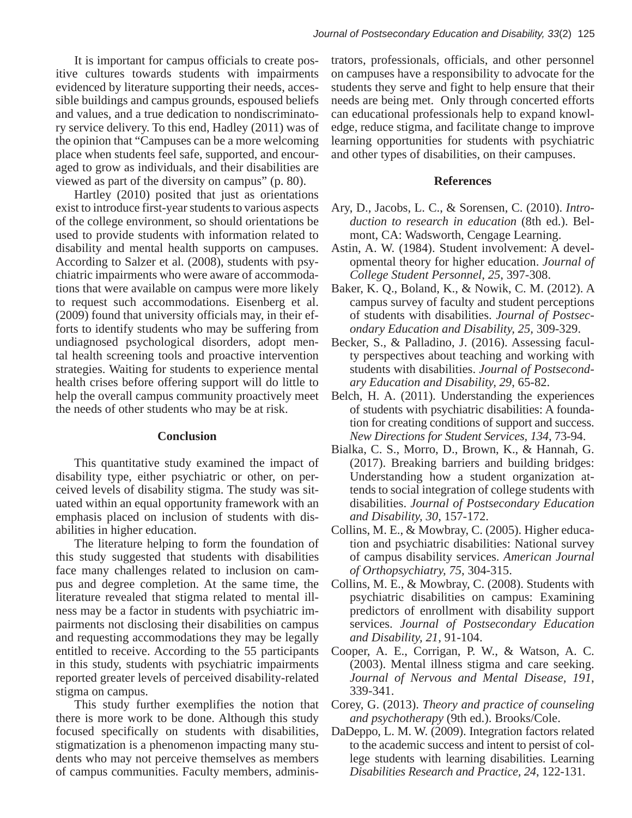It is important for campus officials to create positive cultures towards students with impairments evidenced by literature supporting their needs, accessible buildings and campus grounds, espoused beliefs and values, and a true dedication to nondiscriminatory service delivery. To this end, Hadley (2011) was of the opinion that "Campuses can be a more welcoming place when students feel safe, supported, and encouraged to grow as individuals, and their disabilities are viewed as part of the diversity on campus" (p. 80).

Hartley (2010) posited that just as orientations exist to introduce first-year students to various aspects of the college environment, so should orientations be used to provide students with information related to disability and mental health supports on campuses. According to Salzer et al. (2008), students with psyrecording to stater et al. (2000), statements who providents with psychiatric impairments who were aware of accommodations that were available on campus were more likely to request such accommodations. Eisenberg et al. (2009) found that university officials may, in their efforts to identify students who may be suffering from undiagnosed psychological disorders, adopt mental health screening tools and proactive intervention strategies. Waiting for students to experience mental health crises before offering support will do little to help the overall campus community proactively meet the needs of other students who may be at risk. adons mat were available on early as were more included

#### **Conclusion**

This quantitative study examined the impact of disability type, either psychiatric or other, on perceived levels of disability stigma. The study was situated within an equal opportunity framework with an emphasis placed on inclusion of students with disabilities in higher education.

The literature helping to form the foundation of this study suggested that students with disabilities face many challenges related to inclusion on campus and degree completion. At the same time, the literature revealed that stigma related to mental illness may be a factor in students with psychiatric impairments not disclosing their disabilities on campus and requesting accommodations they may be legally and requesting accommodations they may be regary entitled to receive. According to the 55 participants in this study, students with psychiatric impairments reported greater levels of perceived disability-related stigma on campus.

This study further exemplifies the notion that there is more work to be done. Although this study focused specifically on students with disabilities, stigmatization is a phenomenon impacting many students who may not perceive themselves as members dents who may not perceive themselves as members of campus communities. Faculty members, adminis- $\mathbf{r}$  members, administrators, and  $\mathbf{r}$ 

trators, professionals, officials, and other personnel on campuses have a responsibility to advocate for the students they serve and fight to help ensure that their needs are being met. Only through concerted efforts can educational professionals help to expand knowledge, reduce stigma, and facilitate change to improve learning opportunities for students with psychiatric and other types of disabilities, on their campuses.

#### **References**

- Ary, D., Jacobs, L. C., & Sorensen, C. (2010). *Introduction to research in education* (8th ed.). Belmont, CA: Wadsworth, Cengage Learning.
- Astin, A. W. (1984). Student involvement: A developmental theory for higher education. *Journal of College Student Personnel, 25*, 397-308.
- Baker, K. Q., Boland, K., & Nowik, C. M. (2012). A campus survey of faculty and student perceptions of students with disabilities. *Journal of Postsecondary Education and Disability, 25,* 309-329.
- Becker, S., & Palladino, J. (2016). Assessing faculty perspectives about teaching and working with students with disabilities. *Journal of Postsecondary Education and Disability, 29*, 65-82.
- Belch, H. A. (2011). Understanding the experiences of students with psychiatric disabilities: A foundation for creating conditions of support and success. *New Directions for Student Services, 134,* 73-94.
- Bialka, C. S., Morro, D., Brown, K., & Hannah, G. (2017). Breaking barriers and building bridges: Understanding how a student organization attends to social integration of college students with disabilities. *Journal of Postsecondary Education and Disability, 30*, 157-172.
- Collins, M. E., & Mowbray, C. (2005). Higher education and psychiatric disabilities: National survey of campus disability services. *American Journal of Orthopsychiatry, 75*, 304-315.
- Collins, M. E., & Mowbray, C. (2008). Students with psychiatric disabilities on campus: Examining predictors of enrollment with disability support services. *Journal of Postsecondary Education and Disability, 21*, 91-104.
- Cooper, A. E., Corrigan, P. W., & Watson, A. C. (2003). Mental illness stigma and care seeking. *Journal of Nervous and Mental Disease, 191*, 339-341.
- Corey, G. (2013). *Theory and practice of counseling and psychotherapy* (9th ed.). Brooks/Cole.
- DaDeppo, L. M. W. (2009). Integration factors related to the academic success and intent to persist of college students with learning disabilities. Learning *Disabilities Research and Practice, 24*, 122-131.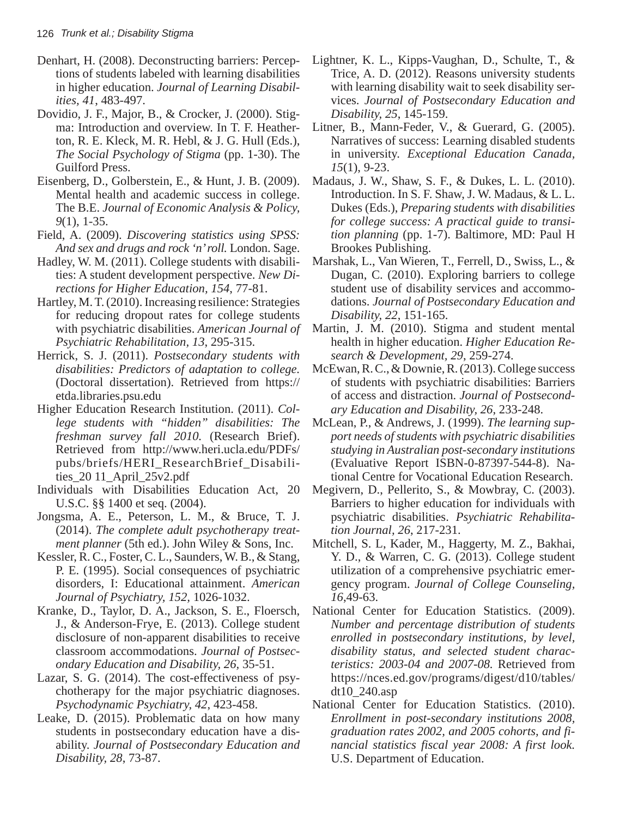- Denhart, H. (2008). Deconstructing barriers: Perceptions of students labeled with learning disabilities in higher education. *Journal of Learning Disabilities, 41*, 483-497.
- Dovidio, J. F., Major, B., & Crocker, J. (2000). Stigma: Introduction and overview. In T. F. Heatherton, R. E. Kleck, M. R. Hebl, & J. G. Hull (Eds.), *The Social Psychology of Stigma* (pp. 1-30). The Guilford Press.
- Eisenberg, D., Golberstein, E., & Hunt, J. B. (2009). Mental health and academic success in college. The B.E. *Journal of Economic Analysis & Policy, 9*(1), 1-35.
- Field, A. (2009). *Discovering statistics using SPSS: And sex and drugs and rock 'n' roll.* London. Sage.
- Hadley, W. M. (2011). College students with disabilities: A student development perspective. *New Directions for Higher Education, 154*, 77-81.
- Hartley, M. T. (2010). Increasing resilience: Strategies for reducing dropout rates for college students with psychiatric disabilities. *American Journal of Psychiatric Rehabilitation, 13*, 295-315.
- Herrick, S. J. (2011). *Postsecondary students with disabilities: Predictors of adaptation to college.*  (Doctoral dissertation). Retrieved from https:// etda.libraries.psu.edu
- Higher Education Research Institution. (2011). *College students with "hidden" disabilities: The freshman survey fall 2010.* (Research Brief). Retrieved from http://www.heri.ucla.edu/PDFs/ pubs/briefs/HERI\_ResearchBrief\_Disabilities\_20 11\_April\_25v2.pdf
- Individuals with Disabilities Education Act, 20 U.S.C. §§ 1400 et seq. (2004).
- Jongsma, A. E., Peterson, L. M., & Bruce, T. J. (2014). *The complete adult psychotherapy treatment planner* (5th ed.). John Wiley & Sons, Inc.
- Kessler, R. C., Foster, C. L., Saunders, W. B., & Stang, P. E. (1995). Social consequences of psychiatric disorders, I: Educational attainment. *American Journal of Psychiatry, 152,* 1026-1032.
- Kranke, D., Taylor, D. A., Jackson, S. E., Floersch, J., & Anderson-Frye, E. (2013). College student disclosure of non-apparent disabilities to receive classroom accommodations. *Journal of Postsecondary Education and Disability, 26,* 35-51.
- Lazar, S. G. (2014). The cost-effectiveness of psychotherapy for the major psychiatric diagnoses. *Psychodynamic Psychiatry, 42*, 423-458.
- Leake, D. (2015). Problematic data on how many students in postsecondary education have a disability. *Journal of Postsecondary Education and Disability, 28*, 73-87.
- Lightner, K. L., Kipps-Vaughan, D., Schulte, T., & Trice, A. D. (2012). Reasons university students with learning disability wait to seek disability services. *Journal of Postsecondary Education and Disability, 25*, 145-159.
- Litner, B., Mann-Feder, V., & Guerard, G. (2005). Narratives of success: Learning disabled students in university. *Exceptional Education Canada, 15*(1), 9-23.
- Madaus, J. W., Shaw, S. F., & Dukes, L. L. (2010). Introduction. In S. F. Shaw, J. W. Madaus, & L. L. Dukes (Eds.), *Preparing students with disabilities for college success: A practical guide to transition planning* (pp. 1-7). Baltimore, MD: Paul H Brookes Publishing.
- Marshak, L., Van Wieren, T., Ferrell, D., Swiss, L., & Dugan, C. (2010). Exploring barriers to college student use of disability services and accommodations. *Journal of Postsecondary Education and Disability, 22*, 151-165.
- Martin, J. M. (2010). Stigma and student mental health in higher education. *Higher Education Research & Development, 29*, 259-274.
- McEwan, R. C., & Downie, R. (2013). College success of students with psychiatric disabilities: Barriers of access and distraction. *Journal of Postsecondary Education and Disability, 26*, 233-248.
- McLean, P., & Andrews, J. (1999). *The learning support needs of students with psychiatric disabilities studying in Australian post-secondary institutions*  (Evaluative Report ISBN-0-87397-544-8). National Centre for Vocational Education Research.
- Megivern, D., Pellerito, S., & Mowbray, C. (2003). Barriers to higher education for individuals with psychiatric disabilities. *Psychiatric Rehabilitation Journal, 26*, 217-231.
- Mitchell, S. L, Kader, M., Haggerty, M. Z., Bakhai, Y. D., & Warren, C. G. (2013). College student utilization of a comprehensive psychiatric emergency program. *Journal of College Counseling, 16*,49-63.
- National Center for Education Statistics. (2009). *Number and percentage distribution of students enrolled in postsecondary institutions, by level, disability status, and selected student characteristics: 2003-04 and 2007-08.* Retrieved from https://nces.ed.gov/programs/digest/d10/tables/ dt10\_240.asp
- National Center for Education Statistics. (2010). *Enrollment in post-secondary institutions 2008, graduation rates 2002, and 2005 cohorts, and financial statistics fiscal year 2008: A first look.*  U.S. Department of Education.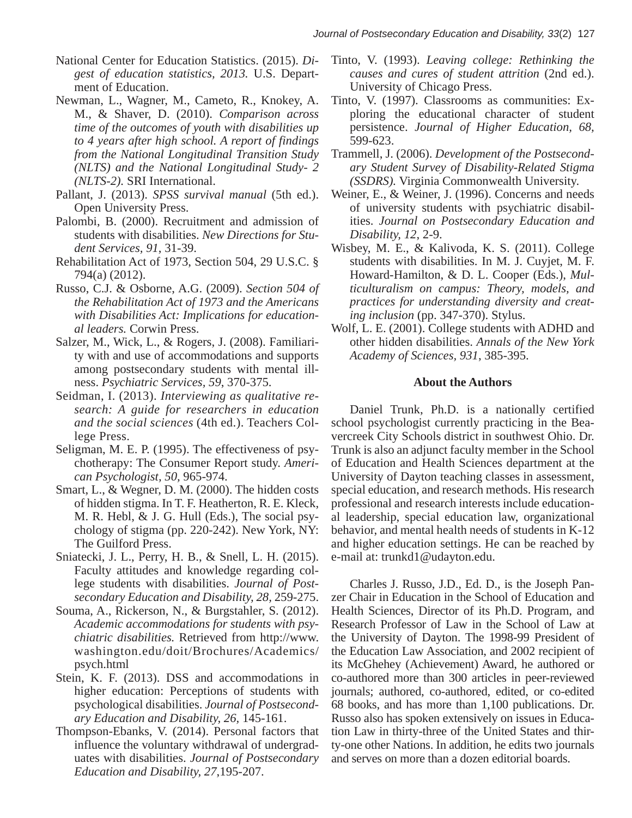- National Center for Education Statistics. (2015). *Digest of education statistics, 2013.* U.S. Department of Education.
- Newman, L., Wagner, M., Cameto, R., Knokey, A. M., & Shaver, D. (2010). *Comparison across time of the outcomes of youth with disabilities up to 4 years after high school. A report of findings from the National Longitudinal Transition Study (NLTS) and the National Longitudinal Study- 2 (NLTS-2).* SRI International.
- Pallant, J. (2013). *SPSS survival manual* (5th ed.). Open University Press.
- Palombi, B. (2000). Recruitment and admission of students with disabilities. *New Directions for Student Services, 91*, 31-39.
- Rehabilitation Act of 1973, Section 504, 29 U.S.C. § 794(a) (2012).
- Russo, C.J. & Osborne, A.G. (2009). *Section 504 of the Rehabilitation Act of 1973 and the Americans with Disabilities Act: Implications for educational leaders.* Corwin Press.
- Salzer, M., Wick, L., & Rogers, J. (2008). Familiarity with and use of accommodations and supports among postsecondary students with mental illness. *Psychiatric Services, 59*, 370-375.
- Seidman, I. (2013). *Interviewing as qualitative research: A guide for researchers in education and the social sciences* (4th ed.). Teachers College Press.
- Seligman, M. E. P. (1995). The effectiveness of psychotherapy: The Consumer Report study. *American Psychologist, 50,* 965-974.
- Smart, L., & Wegner, D. M. (2000). The hidden costs of hidden stigma. In T. F. Heatherton, R. E. Kleck, M. R. Hebl, & J. G. Hull (Eds.), The social psychology of stigma (pp. 220-242). New York, NY: The Guilford Press.
- Sniatecki, J. L., Perry, H. B., & Snell, L. H. (2015). Faculty attitudes and knowledge regarding college students with disabilities. *Journal of Postsecondary Education and Disability, 28,* 259-275.
- Souma, A., Rickerson, N., & Burgstahler, S. (2012). *Academic accommodations for students with psychiatric disabilities.* Retrieved from http://www. washington.edu/doit/Brochures/Academics/ psych.html
- Stein, K. F. (2013). DSS and accommodations in higher education: Perceptions of students with psychological disabilities. *Journal of Postsecondary Education and Disability, 26,* 145-161.
- Thompson-Ebanks, V. (2014). Personal factors that influence the voluntary withdrawal of undergraduates with disabilities. *Journal of Postsecondary Education and Disability, 27*,195-207.
- Tinto, V. (1993). *Leaving college: Rethinking the causes and cures of student attrition* (2nd ed.). University of Chicago Press.
- Tinto, V. (1997). Classrooms as communities: Exploring the educational character of student persistence. *Journal of Higher Education, 68,*  599-623.
- Trammell, J. (2006). *Development of the Postsecondary Student Survey of Disability-Related Stigma (SSDRS).* Virginia Commonwealth University.
- Weiner, E., & Weiner, J. (1996). Concerns and needs of university students with psychiatric disabilities. *Journal on Postsecondary Education and Disability, 12*, 2-9.
- Wisbey, M. E., & Kalivoda, K. S. (2011). College students with disabilities. In M. J. Cuyjet, M. F. Howard-Hamilton, & D. L. Cooper (Eds.), *Multiculturalism on campus: Theory, models, and practices for understanding diversity and creating inclusion* (pp. 347-370). Stylus.
- Wolf, L. E. (2001). College students with ADHD and other hidden disabilities. *Annals of the New York Academy of Sciences, 931*, 385-395.

## **About the Authors**

Daniel Trunk, Ph.D. is a nationally certified school psychologist currently practicing in the Beavercreek City Schools district in southwest Ohio. Dr. Trunk is also an adjunct faculty member in the School of Education and Health Sciences department at the University of Dayton teaching classes in assessment, special education, and research methods. His research professional and research interests include educational leadership, special education law, organizational behavior, and mental health needs of students in  $K-12$ and higher education settings. He can be reached by e-mail at: trunkd1@udayton.edu.

Charles J. Russo, J.D., Ed. D., is the Joseph Panzer Chair in Education in the School of Education and Health Sciences, Director of its Ph.D. Program, and Research Professor of Law in the School of Law at the University of Dayton. The 1998-99 President of the Education Law Association, and 2002 recipient of its McGhehey (Achievement) Award, he authored or co-authored more than 300 articles in peer-reviewed journals; authored, co-authored, edited, or co-edited  $68$  books, and has more than  $1,100$  publications. Dr. Russo also has spoken extensively on issues in Educathe Law in thirty-three of the United States and thirty-one other Nations. In addition, he edits two journals and serves on more than a dozen editorial boards.